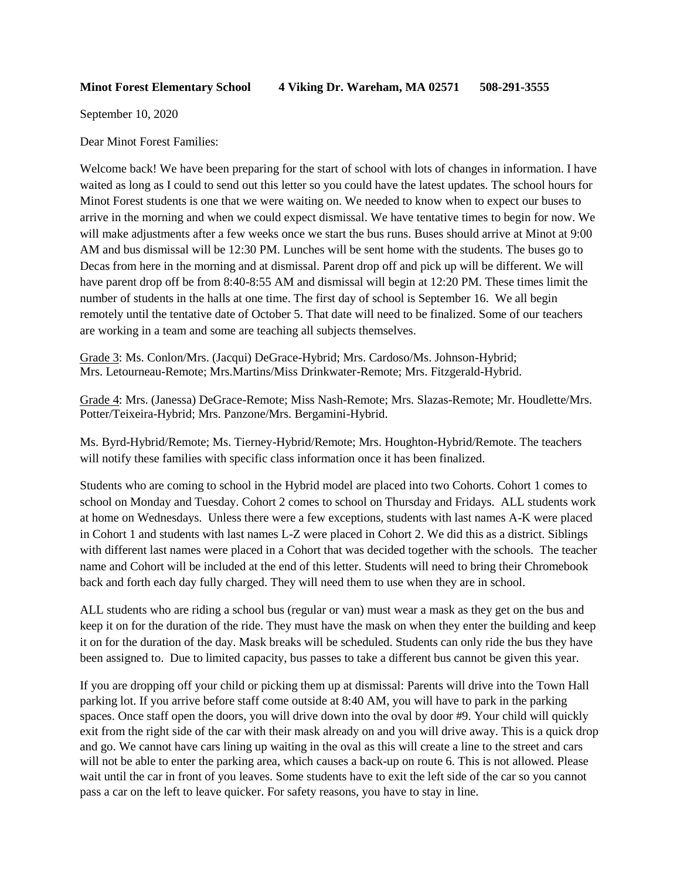September 10, 2020

Dear Minot Forest Families:

Welcome back! We have been preparing for the start of school with lots of changes in information. I have waited as long as I could to send out this letter so you could have the latest updates. The school hours for Minot Forest students is one that we were waiting on. We needed to know when to expect our buses to arrive in the morning and when we could expect dismissal. We have tentative times to begin for now. We will make adjustments after a few weeks once we start the bus runs. Buses should arrive at Minot at 9:00 AM and bus dismissal will be 12:30 PM. Lunches will be sent home with the students. The buses go to Decas from here in the morning and at dismissal. Parent drop off and pick up will be different. We will have parent drop off be from 8:40-8:55 AM and dismissal will begin at 12:20 PM. These times limit the number of students in the halls at one time. The first day of school is September 16. We all begin remotely until the tentative date of October 5. That date will need to be finalized. Some of our teachers are working in a team and some are teaching all subjects themselves.

Grade 3: Ms. Conlon/Mrs. (Jacqui) DeGrace-Hybrid; Mrs. Cardoso/Ms. Johnson-Hybrid; Mrs. Letourneau-Remote; Mrs.Martins/Miss Drinkwater-Remote; Mrs. Fitzgerald-Hybrid.

Grade 4: Mrs. (Janessa) DeGrace-Remote; Miss Nash-Remote; Mrs. Slazas-Remote; Mr. Houdlette/Mrs. Potter/Teixeira-Hybrid; Mrs. Panzone/Mrs. Bergamini-Hybrid.

Ms. Byrd-Hybrid/Remote; Ms. Tierney-Hybrid/Remote; Mrs. Houghton-Hybrid/Remote. The teachers will notify these families with specific class information once it has been finalized.

Students who are coming to school in the Hybrid model are placed into two Cohorts. Cohort 1 comes to school on Monday and Tuesday. Cohort 2 comes to school on Thursday and Fridays. ALL students work at home on Wednesdays. Unless there were a few exceptions, students with last names A-K were placed in Cohort 1 and students with last names L-Z were placed in Cohort 2. We did this as a district. Siblings with different last names were placed in a Cohort that was decided together with the schools. The teacher name and Cohort will be included at the end of this letter. Students will need to bring their Chromebook back and forth each day fully charged. They will need them to use when they are in school.

ALL students who are riding a school bus (regular or van) must wear a mask as they get on the bus and keep it on for the duration of the ride. They must have the mask on when they enter the building and keep it on for the duration of the day. Mask breaks will be scheduled. Students can only ride the bus they have been assigned to. Due to limited capacity, bus passes to take a different bus cannot be given this year.

If you are dropping off your child or picking them up at dismissal: Parents will drive into the Town Hall parking lot. If you arrive before staff come outside at 8:40 AM, you will have to park in the parking spaces. Once staff open the doors, you will drive down into the oval by door #9. Your child will quickly exit from the right side of the car with their mask already on and you will drive away. This is a quick drop and go. We cannot have cars lining up waiting in the oval as this will create a line to the street and cars will not be able to enter the parking area, which causes a back-up on route 6. This is not allowed. Please wait until the car in front of you leaves. Some students have to exit the left side of the car so you cannot pass a car on the left to leave quicker. For safety reasons, you have to stay in line.